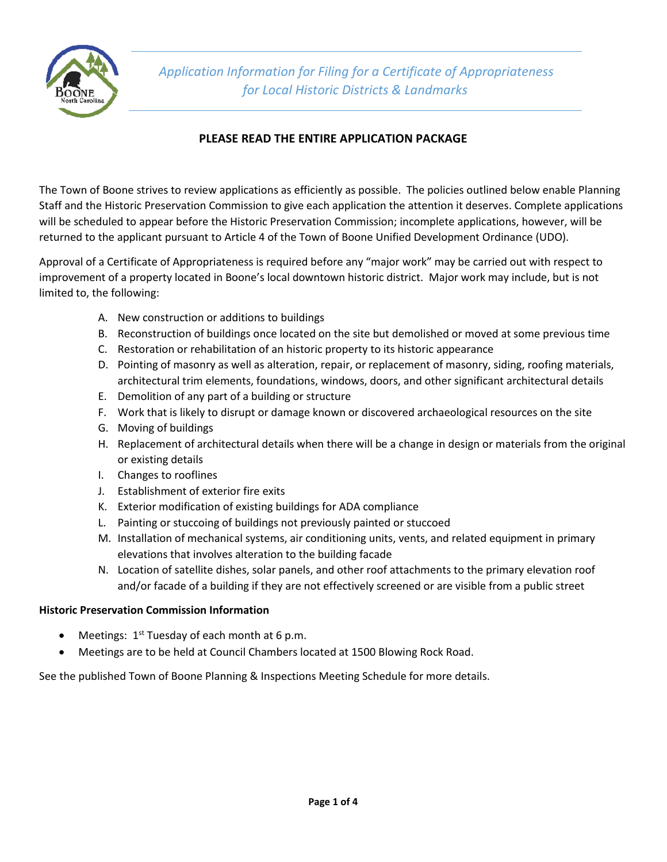

## **PLEASE READ THE ENTIRE APPLICATION PACKAGE**

The Town of Boone strives to review applications as efficiently as possible. The policies outlined below enable Planning Staff and the Historic Preservation Commission to give each application the attention it deserves. Complete applications will be scheduled to appear before the Historic Preservation Commission; incomplete applications, however, will be returned to the applicant pursuant to Article 4 of the Town of Boone Unified Development Ordinance (UDO).

Approval of a Certificate of Appropriateness is required before any "major work" may be carried out with respect to improvement of a property located in Boone's local downtown historic district. Major work may include, but is not limited to, the following:

- A. New construction or additions to buildings
- B. Reconstruction of buildings once located on the site but demolished or moved at some previous time
- C. Restoration or rehabilitation of an historic property to its historic appearance
- D. Pointing of masonry as well as alteration, repair, or replacement of masonry, siding, roofing materials, architectural trim elements, foundations, windows, doors, and other significant architectural details
- E. Demolition of any part of a building or structure
- F. Work that is likely to disrupt or damage known or discovered archaeological resources on the site
- G. Moving of buildings
- H. Replacement of architectural details when there will be a change in design or materials from the original or existing details
- I. Changes to rooflines
- J. Establishment of exterior fire exits
- K. Exterior modification of existing buildings for ADA compliance
- L. Painting or stuccoing of buildings not previously painted or stuccoed
- M. Installation of mechanical systems, air conditioning units, vents, and related equipment in primary elevations that involves alteration to the building facade
- N. Location of satellite dishes, solar panels, and other roof attachments to the primary elevation roof and/or facade of a building if they are not effectively screened or are visible from a public street

### **Historic Preservation Commission Information**

- Meetings:  $1<sup>st</sup>$  Tuesday of each month at 6 p.m.
- Meetings are to be held at Council Chambers located at 1500 Blowing Rock Road.

See the published Town of Boone Planning & Inspections Meeting Schedule for more details.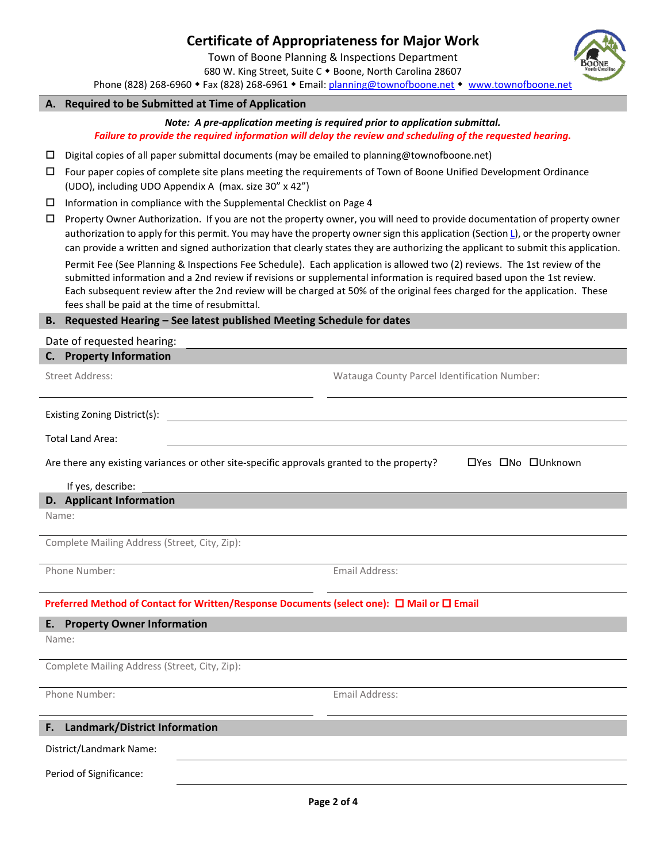# **Certificate of Appropriateness for Major Work**

Town of Boone Planning & Inspections Department

680 W. King Street, Suite C . Boone, North Carolina 28607

Phone (828) 268-6960 • Fax (828) 268-6961 • Email: [planning@townofboone.net](mailto:planning@townofboone.net) • [www.townofboone.net](http://www.townofboone.net/)

#### **A. Required to be Submitted at Time of Application**

*Note: A pre-application meeting is required prior to application submittal. Failure to provide the required information will delay the review and scheduling of the requested hearing.*

- Digital copies of all paper submittal documents (may be emailed to planning@townofboone.net)
- Four paper copies of complete site plans meeting the requirements of Town of Boone Unified Development Ordinance (UDO), including UDO Appendix A (max. size 30" x 42")
- $\square$  Information in compliance with the Supplemental Checklist on Page 4
- $\Box$  Property Owner Authorization. If you are not the property owner, you will need to provide documentation of property owner authorization to apply for this permit. You may have the property owner sign this application (Sectio[n L\)](#page-1-0), or the property owner can provide a written and signed authorization that clearly states they are authorizing the applicant to submit this application.

Permit Fee (See Planning & Inspections Fee Schedule). Each application is allowed two (2) reviews. The 1st review of the submitted information and a 2nd review if revisions or supplemental information is required based upon the 1st review. Each subsequent review after the 2nd review will be charged at 50% of the original fees charged for the application. These fees shall be paid at the time of resubmittal.

#### **B. Requested Hearing – See latest published Meeting Schedule for dates**

Date of requested hearing:

<span id="page-1-0"></span>

| C. Property Information                                                                                         |                                              |  |  |  |
|-----------------------------------------------------------------------------------------------------------------|----------------------------------------------|--|--|--|
| <b>Street Address:</b>                                                                                          | Watauga County Parcel Identification Number: |  |  |  |
| Existing Zoning District(s):                                                                                    |                                              |  |  |  |
| <b>Total Land Area:</b>                                                                                         |                                              |  |  |  |
| Are there any existing variances or other site-specific approvals granted to the property?<br>□Yes □No □Unknown |                                              |  |  |  |
| If yes, describe:                                                                                               |                                              |  |  |  |
| D. Applicant Information                                                                                        |                                              |  |  |  |
| Name:                                                                                                           |                                              |  |  |  |
| Complete Mailing Address (Street, City, Zip):                                                                   |                                              |  |  |  |
| Phone Number:                                                                                                   | Email Address:                               |  |  |  |
| Preferred Method of Contact for Written/Response Documents (select one): □ Mail or □ Email                      |                                              |  |  |  |
| <b>Property Owner Information</b><br>Е.                                                                         |                                              |  |  |  |
| Name:                                                                                                           |                                              |  |  |  |
| Complete Mailing Address (Street, City, Zip):                                                                   |                                              |  |  |  |
| Phone Number:                                                                                                   | Email Address:                               |  |  |  |
| Landmark/District Information<br>F.                                                                             |                                              |  |  |  |
| District/Landmark Name:                                                                                         |                                              |  |  |  |
| Period of Significance:                                                                                         |                                              |  |  |  |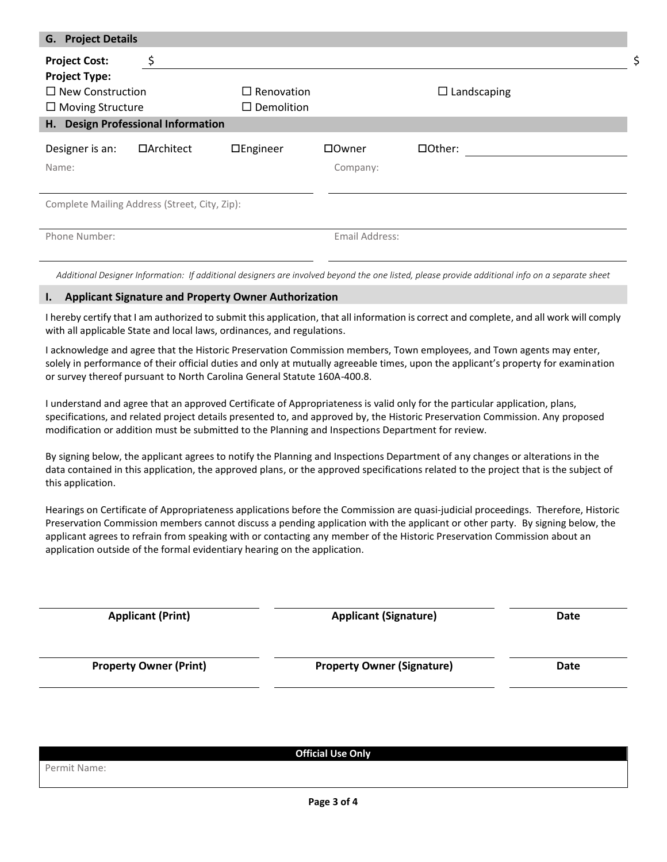| <b>G.</b> Project Details                     |            |                   |                |                    |  |
|-----------------------------------------------|------------|-------------------|----------------|--------------------|--|
| <b>Project Cost:</b>                          | \$         |                   |                |                    |  |
| <b>Project Type:</b>                          |            |                   |                |                    |  |
| $\Box$ New Construction                       |            | $\Box$ Renovation |                | $\Box$ Landscaping |  |
| $\Box$ Moving Structure                       |            | $\Box$ Demolition |                |                    |  |
| <b>Design Professional Information</b><br>Н.  |            |                   |                |                    |  |
| Designer is an:                               | □Architect | $\Box$ Engineer   | □Owner         | □Other:            |  |
| Name:                                         |            |                   | Company:       |                    |  |
|                                               |            |                   |                |                    |  |
| Complete Mailing Address (Street, City, Zip): |            |                   |                |                    |  |
|                                               |            |                   |                |                    |  |
| Phone Number:                                 |            |                   | Email Address: |                    |  |
|                                               |            |                   |                |                    |  |

Additional Designer Information: If additional designers are involved beyond the one listed, please provide additional info on a separate sheet

#### **I. Applicant Signature and Property Owner Authorization**

I hereby certify that I am authorized to submit this application, that all information is correct and complete, and all work will comply with all applicable State and local laws, ordinances, and regulations.

I acknowledge and agree that the Historic Preservation Commission members, Town employees, and Town agents may enter, solely in performance of their official duties and only at mutually agreeable times, upon the applicant's property for examination or survey thereof pursuant to North Carolina General Statute 160A-400.8.

I understand and agree that an approved Certificate of Appropriateness is valid only for the particular application, plans, specifications, and related project details presented to, and approved by, the Historic Preservation Commission. Any proposed modification or addition must be submitted to the Planning and Inspections Department for review.

By signing below, the applicant agrees to notify the Planning and Inspections Department of any changes or alterations in the data contained in this application, the approved plans, or the approved specifications related to the project that is the subject of this application.

Hearings on Certificate of Appropriateness applications before the Commission are quasi-judicial proceedings. Therefore, Historic Preservation Commission members cannot discuss a pending application with the applicant or other party. By signing below, the applicant agrees to refrain from speaking with or contacting any member of the Historic Preservation Commission about an application outside of the formal evidentiary hearing on the application.

| <b>Applicant (Signature)</b>      | Date |
|-----------------------------------|------|
| <b>Property Owner (Signature)</b> | Date |
|                                   |      |

|              | <b>Official Use Only</b> |
|--------------|--------------------------|
| Permit Name: |                          |
|              |                          |